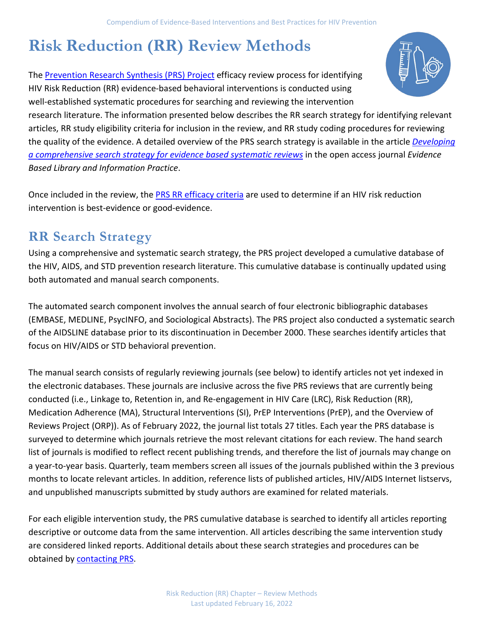# **Risk Reduction (RR) Review Methods**

The [Prevention Research Synthesis \(PRS\) Project](http://www.cdc.gov/hiv/dhap/prb/prs/index.html) efficacy review process for identifying HIV Risk Reduction (RR) evidence-based behavioral interventions is conducted using well-established systematic procedures for searching and reviewing the intervention

research literature. The information presented below describes the RR search strategy for identifying relevant articles, RR study eligibility criteria for inclusion in the review, and RR study coding procedures for reviewing the quality of the evidence. A detailed overview of the PRS search strategy is available in the article *[Developing](https://journals.library.ualberta.ca/eblip/index.php/EBLIP/article/view/855)  [a comprehensive search strategy for evidence based systematic reviews](https://journals.library.ualberta.ca/eblip/index.php/EBLIP/article/view/855)* in the open access journal *Evidence Based Library and Information Practice*.

Once included in the review, the [PRS RR efficacy criteria](http://www.cdc.gov/hiv/dhap/prb/prs/efficacy/rr/criteria/index.html) are used to determine if an HIV risk reduction intervention is best-evidence or good-evidence.

### **RR Search Strategy**

Using a comprehensive and systematic search strategy, the PRS project developed a cumulative database of the HIV, AIDS, and STD prevention research literature. This cumulative database is continually updated using both automated and manual search components.

The automated search component involves the annual search of four electronic bibliographic databases (EMBASE, MEDLINE, PsycINFO, and Sociological Abstracts). The PRS project also conducted a systematic search of the AIDSLINE database prior to its discontinuation in December 2000. These searches identify articles that focus on HIV/AIDS or STD behavioral prevention.

The manual search consists of regularly reviewing journals (see below) to identify articles not yet indexed in the electronic databases. These journals are inclusive across the five PRS reviews that are currently being conducted (i.e., Linkage to, Retention in, and Re-engagement in HIV Care (LRC), Risk Reduction (RR), Medication Adherence (MA), Structural Interventions (SI), PrEP Interventions (PrEP), and the Overview of Reviews Project (ORP)). As of February 2022, the journal list totals 27 titles. Each year the PRS database is surveyed to determine which journals retrieve the most relevant citations for each review. The hand search list of journals is modified to reflect recent publishing trends, and therefore the list of journals may change on a year-to-year basis. Quarterly, team members screen all issues of the journals published within the 3 previous months to locate relevant articles. In addition, reference lists of published articles, HIV/AIDS Internet listservs, and unpublished manuscripts submitted by study authors are examined for related materials.

For each eligible intervention study, the PRS cumulative database is searched to identify all articles reporting descriptive or outcome data from the same intervention. All articles describing the same intervention study are considered linked reports. Additional details about these search strategies and procedures can be obtained by [contacting PRS.](mailto:PRSproject@cdc.gov)

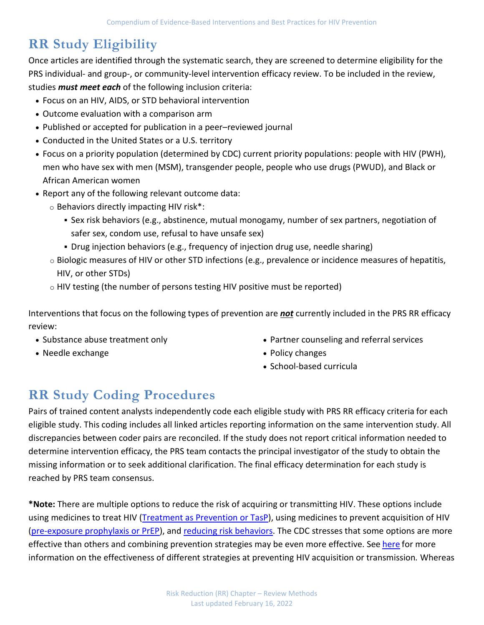## **RR Study Eligibility**

Once articles are identified through the systematic search, they are screened to determine eligibility for the PRS individual- and group-, or community-level intervention efficacy review. To be included in the review, studies *must meet each* of the following inclusion criteria:

- Focus on an HIV, AIDS, or STD behavioral intervention
- Outcome evaluation with a comparison arm
- Published or accepted for publication in a peer–reviewed journal
- Conducted in the United States or a U.S. territory
- Focus on a priority population (determined by CDC) current priority populations: people with HIV (PWH), men who have sex with men (MSM), transgender people, people who use drugs (PWUD), and Black or African American women
- Report any of the following relevant outcome data:
	- o Behaviors directly impacting HIV risk\*:
		- Sex risk behaviors (e.g., abstinence, mutual monogamy, number of sex partners, negotiation of safer sex, condom use, refusal to have unsafe sex)
		- Drug injection behaviors (e.g., frequency of injection drug use, needle sharing)
	- o Biologic measures of HIV or other STD infections (e.g., prevalence or incidence measures of hepatitis, HIV, or other STDs)
	- o HIV testing (the number of persons testing HIV positive must be reported)

Interventions that focus on the following types of prevention are *not* currently included in the PRS RR efficacy review:

- Substance abuse treatment only
- Needle exchange
- Partner counseling and referral services
- Policy changes
- School-based curricula

# **RR Study Coding Procedures**

Pairs of trained content analysts independently code each eligible study with PRS RR efficacy criteria for each eligible study. This coding includes all linked articles reporting information on the same intervention study. All discrepancies between coder pairs are reconciled. If the study does not report critical information needed to determine intervention efficacy, the PRS team contacts the principal investigator of the study to obtain the missing information or to seek additional clarification. The final efficacy determination for each study is reached by PRS team consensus.

**\*Note:** There are multiple options to reduce the risk of acquiring or transmitting HIV. These options include using medicines to treat HIV [\(Treatment as Prevention or TasP\)](https://www.cdc.gov/hiv/risk/art/index.html), using medicines to prevent acquisition of HIV [\(pre-exposure prophylaxis or PrEP\)](https://www.cdc.gov/hiv/risk/prep/index.html), and [reducing risk behaviors.](https://www.cdc.gov/hiv/risk/index.html) The CDC stresses that some options are more effective than others and combining prevention strategies may be even more effective. See [here](https://www.cdc.gov/hiv/risk/estimates/preventionstrategies.html) for more information on the effectiveness of different strategies at preventing HIV acquisition or transmission*.* Whereas